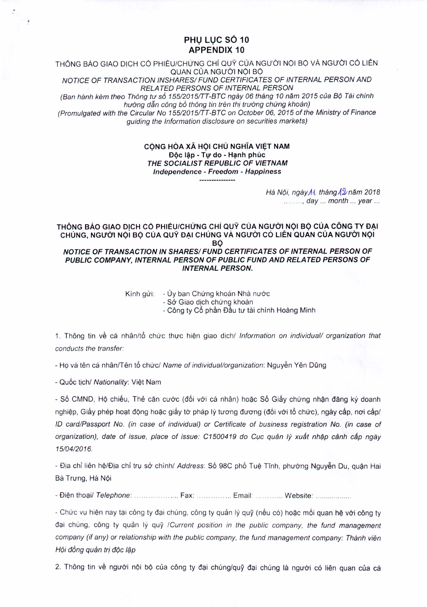## PHU LUC SÔ 10 **APPENDIX 10**

THÔNG BÁO GIAO DICH CÓ PHIÉU/CHỨNG CHỈ QUỸ CỦA NGƯỜI NÓI BỘ VÀ NGƯỜI CÓ LIÊN QUAN CỦA NGƯỜI NÔI BỘ

NOTICE OF TRANSACTION INSHARES/ FUND CERTIFICATES OF INTERNAL PERSON AND RELATED PERSONS OF INTERNAL PERSON

(Ban hành kèm theo Thông tư số 155/2015/TT-BTC ngày 06 tháng 10 năm 2015 của Bộ Tài chính hướng dẫn công bố thông tin trên thị trường chứng khoán)

(Promulgated with the Circular No 155/2015/TT-BTC on October 06, 2015 of the Ministry of Finance guiding the Information disclosure on securities markets)

## CỘNG HÒA XÃ HỘI CHỦ NGHĨA VIỆT NAM Độc lập - Tự do - Hanh phúc THE SOCIALIST REPUBLIC OF VIETNAM Independence - Freedom - Happiness ----------------

Hà Nội, ngày M, tháng 12 năm 2018 ........, day ... month ... year ...

## THÔNG BÁO GIAO DỊCH CÓ PHIÉU/CHỨNG CHỈ QUỸ CỦA NGƯỜI NỘI BỘ CỦA CÔNG TY ĐẠI CHÚNG, NGƯỜI NỘI BỘ CỦA QUỸ ĐẠI CHÚNG VÀ NGƯỜI CÓ LIÊN QUAN CỦA NGƯỜI NỘI BÔ NOTICE OF TRANSACTION IN SHARES/FUND CERTIFICATES OF INTERNAL PERSON OF PUBLIC COMPANY, INTERNAL PERSON OF PUBLIC FUND AND RELATED PERSONS OF **INTERNAL PERSON.**

Kính gửi: - Ủy ban Chứng khoán Nhà nước

- Sở Giao dịch chứng khoán

- Công ty Cổ phần Đầu tư tài chính Hoàng Minh

1. Thông tin về cá nhân/tổ chức thực hiện giao dịch/ Information on individual/ organization that conducts the transfer:

- Ho và tên cá nhân/Tên tổ chức/ Name of individual/organization: Nguyễn Yên Dũng

- Quốc tịch/ Nationality: Việt Nam

- Số CMND, Hô chiếu, Thẻ căn cước (đối với cá nhân) hoặc Số Giấy chứng nhân đăng ký doanh nghiệp, Giấy phép hoạt động hoặc giấy tờ pháp lý tương đương (đối với tổ chức), ngày cấp, nơi cấp/ ID card/Passport No. (in case of individual) or Certificate of business registration No. (in case of organization), date of issue, place of issue: C1500419 do Cuc quản lý xuất nhập cảnh cấp ngày 15/04/2016.

- Địa chỉ liên hệ/Địa chỉ trụ sở chính/ Address: Số 98C phố Tuệ Tĩnh, phường Nguyễn Du, quân Hai Bà Trưng, Hà Nôi

- Điện thoại/ Telephone: ....................... Fax: ................. Email: ................ Website: ...................

- Chức vụ hiện nay tại công ty đại chúng, công ty quản lý quỹ (nếu có) hoặc mối quan hệ với công ty đại chúng, công ty quản lý quỹ /Current position in the public company, the fund management company (if any) or relationship with the public company, the fund management company: Thành viên Hội đồng quản trị độc lập

2. Thông tin về người nội bộ của công ty đại chúng/quỹ đại chúng là người có liên quan của cá